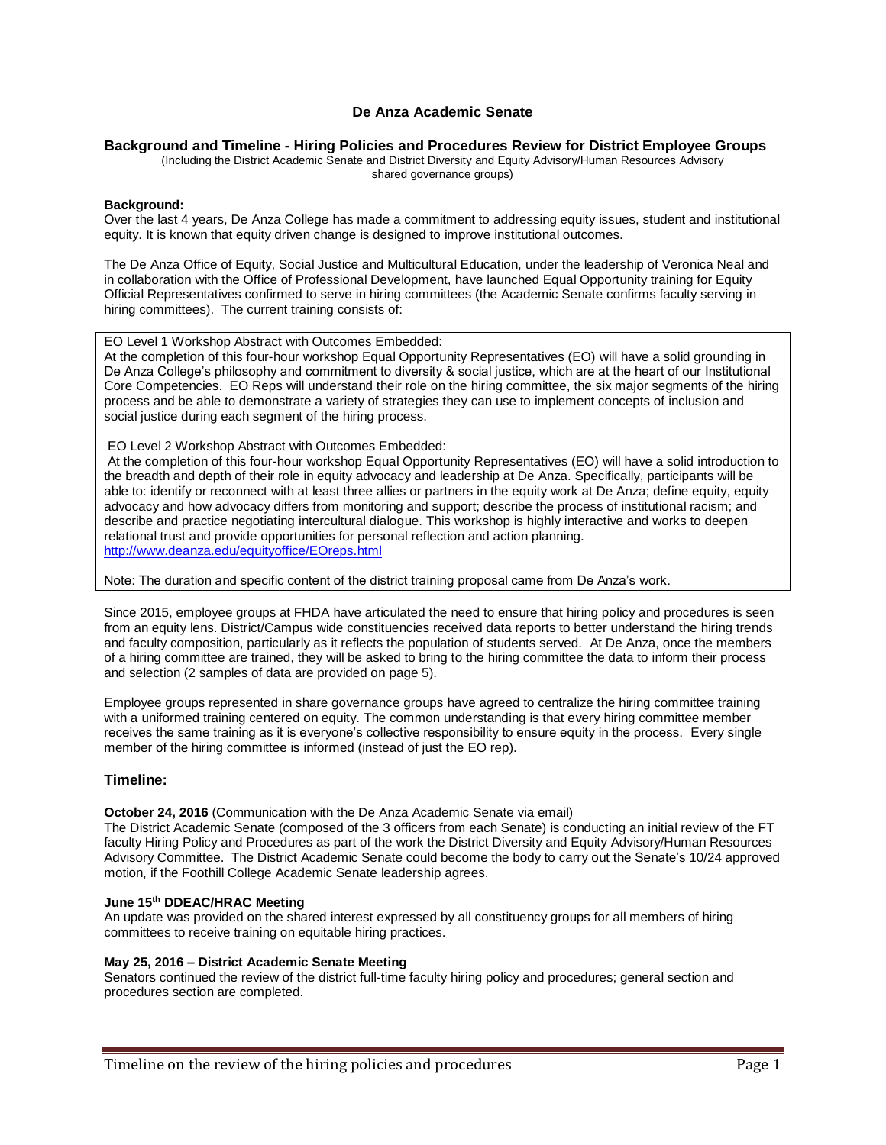## **De Anza Academic Senate**

#### **Background and Timeline - Hiring Policies and Procedures Review for District Employee Groups**

(Including the District Academic Senate and District Diversity and Equity Advisory/Human Resources Advisory shared governance groups)

#### **Background:**

Over the last 4 years, De Anza College has made a commitment to addressing equity issues, student and institutional equity. It is known that equity driven change is designed to improve institutional outcomes.

The De Anza Office of Equity, Social Justice and Multicultural Education, under the leadership of Veronica Neal and in collaboration with the Office of Professional Development, have launched Equal Opportunity training for Equity Official Representatives confirmed to serve in hiring committees (the Academic Senate confirms faculty serving in hiring committees). The current training consists of:

EO Level 1 Workshop Abstract with Outcomes Embedded:

At the completion of this four-hour workshop Equal Opportunity Representatives (EO) will have a solid grounding in De Anza College's philosophy and commitment to diversity & social justice, which are at the heart of our Institutional Core Competencies. EO Reps will understand their role on the hiring committee, the six major segments of the hiring process and be able to demonstrate a variety of strategies they can use to implement concepts of inclusion and social justice during each segment of the hiring process.

EO Level 2 Workshop Abstract with Outcomes Embedded:

At the completion of this four-hour workshop Equal Opportunity Representatives (EO) will have a solid introduction to the breadth and depth of their role in equity advocacy and leadership at De Anza. Specifically, participants will be able to: identify or reconnect with at least three allies or partners in the equity work at De Anza; define equity, equity advocacy and how advocacy differs from monitoring and support; describe the process of institutional racism; and describe and practice negotiating intercultural dialogue. This workshop is highly interactive and works to deepen relational trust and provide opportunities for personal reflection and action planning. <http://www.deanza.edu/equityoffice/EOreps.html>

Note: The duration and specific content of the district training proposal came from De Anza's work.

Since 2015, employee groups at FHDA have articulated the need to ensure that hiring policy and procedures is seen from an equity lens. District/Campus wide constituencies received data reports to better understand the hiring trends and faculty composition, particularly as it reflects the population of students served. At De Anza, once the members of a hiring committee are trained, they will be asked to bring to the hiring committee the data to inform their process and selection (2 samples of data are provided on page 5).

Employee groups represented in share governance groups have agreed to centralize the hiring committee training with a uniformed training centered on equity. The common understanding is that every hiring committee member receives the same training as it is everyone's collective responsibility to ensure equity in the process. Every single member of the hiring committee is informed (instead of just the EO rep).

#### **Timeline:**

**October 24, 2016** (Communication with the De Anza Academic Senate via email)

The District Academic Senate (composed of the 3 officers from each Senate) is conducting an initial review of the FT faculty Hiring Policy and Procedures as part of the work the District Diversity and Equity Advisory/Human Resources Advisory Committee. The District Academic Senate could become the body to carry out the Senate's 10/24 approved motion, if the Foothill College Academic Senate leadership agrees.

## **June 15th DDEAC/HRAC Meeting**

An update was provided on the shared interest expressed by all constituency groups for all members of hiring committees to receive training on equitable hiring practices.

#### **May 25, 2016 – District Academic Senate Meeting**

Senators continued the review of the district full-time faculty hiring policy and procedures; general section and procedures section are completed.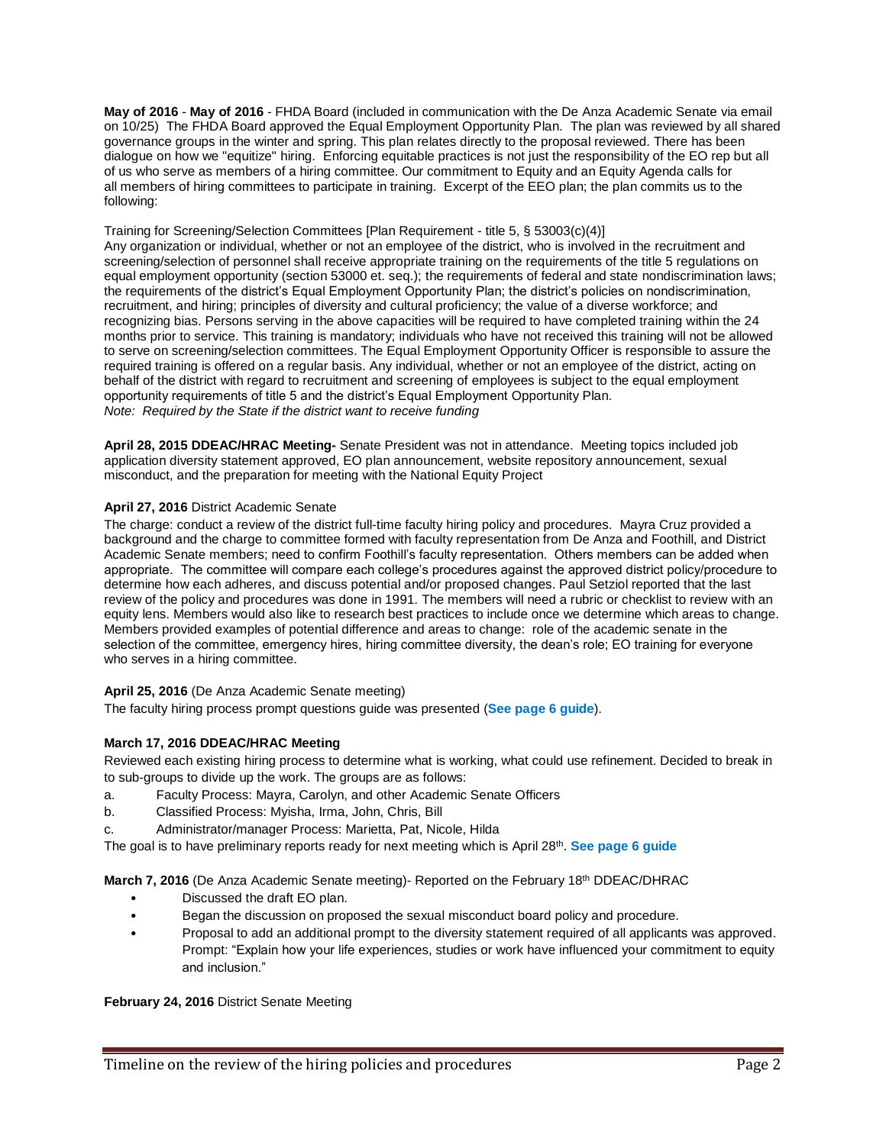**May of 2016** - **May of 2016** - FHDA Board (included in communication with the De Anza Academic Senate via email on 10/25) The FHDA Board approved the Equal Employment Opportunity Plan. The plan was reviewed by all shared governance groups in the winter and spring. This plan relates directly to the proposal reviewed. There has been dialogue on how we "equitize" hiring. Enforcing equitable practices is not just the responsibility of the EO rep but all of us who serve as members of a hiring committee. Our commitment to Equity and an Equity Agenda calls for all members of hiring committees to participate in training. Excerpt of the EEO plan; the plan commits us to the following:

#### Training for Screening/Selection Committees [Plan Requirement - title 5, § 53003(c)(4)]

Any organization or individual, whether or not an employee of the district, who is involved in the recruitment and screening/selection of personnel shall receive appropriate training on the requirements of the title 5 regulations on equal employment opportunity (section 53000 et. seq.); the requirements of federal and state nondiscrimination laws; the requirements of the district's Equal Employment Opportunity Plan; the district's policies on nondiscrimination, recruitment, and hiring; principles of diversity and cultural proficiency; the value of a diverse workforce; and recognizing bias. Persons serving in the above capacities will be required to have completed training within the 24 months prior to service. This training is mandatory; individuals who have not received this training will not be allowed to serve on screening/selection committees. The Equal Employment Opportunity Officer is responsible to assure the required training is offered on a regular basis. Any individual, whether or not an employee of the district, acting on behalf of the district with regard to recruitment and screening of employees is subject to the equal employment opportunity requirements of title 5 and the district's Equal Employment Opportunity Plan. *Note: Required by the State if the district want to receive funding*

**April 28, 2015 DDEAC/HRAC Meeting-** Senate President was not in attendance. Meeting topics included job application diversity statement approved, EO plan announcement, website repository announcement, sexual misconduct, and the preparation for meeting with the National Equity Project

#### **April 27, 2016** District Academic Senate

The charge: conduct a review of the district full-time faculty hiring policy and procedures. Mayra Cruz provided a background and the charge to committee formed with faculty representation from De Anza and Foothill, and District Academic Senate members; need to confirm Foothill's faculty representation. Others members can be added when appropriate. The committee will compare each college's procedures against the approved district policy/procedure to determine how each adheres, and discuss potential and/or proposed changes. Paul Setziol reported that the last review of the policy and procedures was done in 1991. The members will need a rubric or checklist to review with an equity lens. Members would also like to research best practices to include once we determine which areas to change. Members provided examples of potential difference and areas to change: role of the academic senate in the selection of the committee, emergency hires, hiring committee diversity, the dean's role; EO training for everyone who serves in a hiring committee.

## **April 25, 2016** (De Anza Academic Senate meeting)

The faculty hiring process prompt questions guide was presented (**See page 6 guide**).

## **March 17, 2016 DDEAC/HRAC Meeting**

Reviewed each existing hiring process to determine what is working, what could use refinement. Decided to break in to sub-groups to divide up the work. The groups are as follows:

- a. Faculty Process: Mayra, Carolyn, and other Academic Senate Officers
- b. Classified Process: Myisha, Irma, John, Chris, Bill
- c. Administrator/manager Process: Marietta, Pat, Nicole, Hilda

The goal is to have preliminary reports ready for next meeting which is April 28<sup>th</sup>. See page 6 guide

**March 7, 2016** (De Anza Academic Senate meeting)- Reported on the February 18<sup>th</sup> DDEAC/DHRAC

- Discussed the draft EO plan.
- Began the discussion on proposed the sexual misconduct board policy and procedure.
- Proposal to add an additional prompt to the diversity statement required of all applicants was approved. Prompt: "Explain how your life experiences, studies or work have influenced your commitment to equity and inclusion."

**February 24, 2016** District Senate Meeting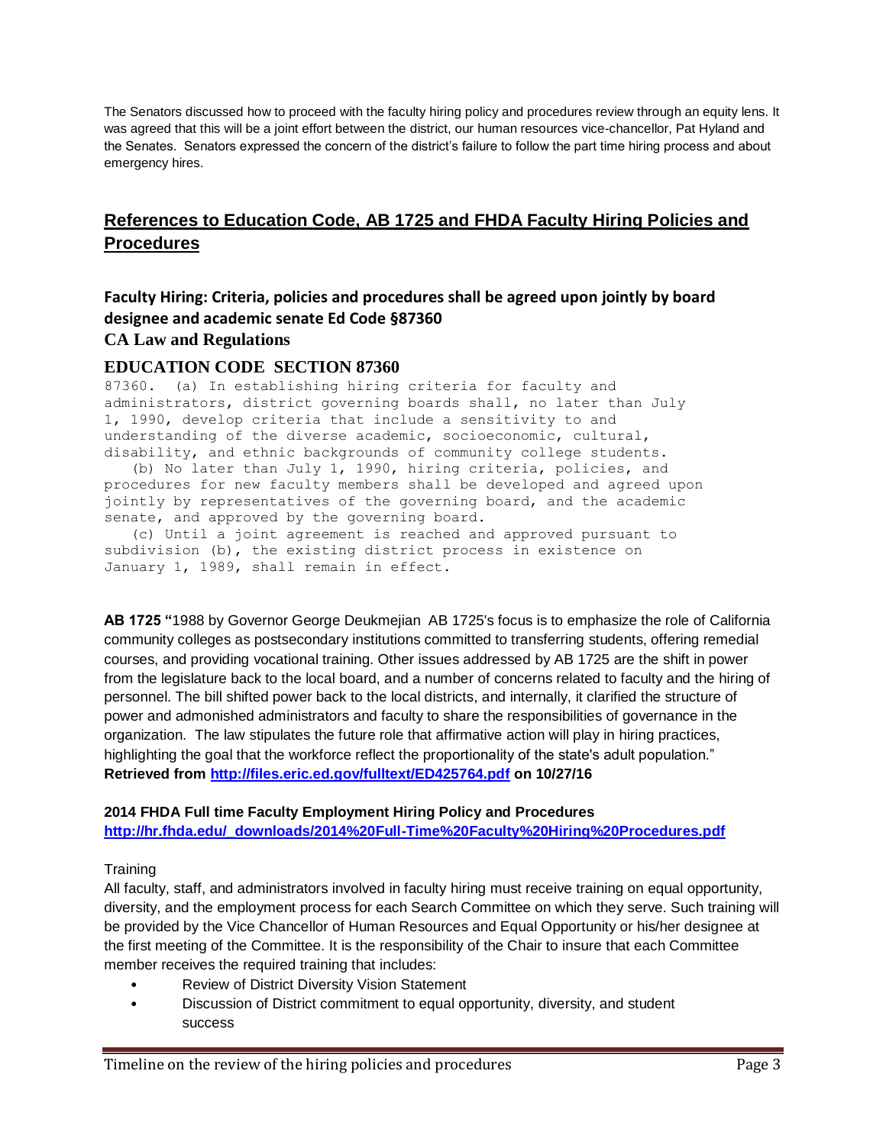The Senators discussed how to proceed with the faculty hiring policy and procedures review through an equity lens. It was agreed that this will be a joint effort between the district, our human resources vice-chancellor, Pat Hyland and the Senates. Senators expressed the concern of the district's failure to follow the part time hiring process and about emergency hires.

# **References to Education Code, AB 1725 and FHDA Faculty Hiring Policies and Procedures**

## **Faculty Hiring: Criteria, policies and procedures shall be agreed upon jointly by board designee and academic senate Ed Code §87360 CA Law and Regulations**

## **EDUCATION CODE SECTION 87360**

87360. (a) In establishing hiring criteria for faculty and administrators, district governing boards shall, no later than July 1, 1990, develop criteria that include a sensitivity to and understanding of the diverse academic, socioeconomic, cultural, disability, and ethnic backgrounds of community college students.

 (b) No later than July 1, 1990, hiring criteria, policies, and procedures for new faculty members shall be developed and agreed upon jointly by representatives of the governing board, and the academic senate, and approved by the governing board.

 (c) Until a joint agreement is reached and approved pursuant to subdivision (b), the existing district process in existence on January 1, 1989, shall remain in effect.

**AB 1725 "**1988 by Governor George Deukmejian AB 1725's focus is to emphasize the role of California community colleges as postsecondary institutions committed to transferring students, offering remedial courses, and providing vocational training. Other issues addressed by AB 1725 are the shift in power from the legislature back to the local board, and a number of concerns related to faculty and the hiring of personnel. The bill shifted power back to the local districts, and internally, it clarified the structure of power and admonished administrators and faculty to share the responsibilities of governance in the organization. The law stipulates the future role that affirmative action will play in hiring practices, highlighting the goal that the workforce reflect the proportionality of the state's adult population." **Retrieved from<http://files.eric.ed.gov/fulltext/ED425764.pdf> on 10/27/16**

## **2014 FHDA Full time Faculty Employment Hiring Policy and Procedures [http://hr.fhda.edu/\\_downloads/2014%20Full-Time%20Faculty%20Hiring%20Procedures.pdf](http://hr.fhda.edu/_downloads/2014%20Full-Time%20Faculty%20Hiring%20Procedures.pdf)**

## **Training**

All faculty, staff, and administrators involved in faculty hiring must receive training on equal opportunity, diversity, and the employment process for each Search Committee on which they serve. Such training will be provided by the Vice Chancellor of Human Resources and Equal Opportunity or his/her designee at the first meeting of the Committee. It is the responsibility of the Chair to insure that each Committee member receives the required training that includes:

- Review of District Diversity Vision Statement
- Discussion of District commitment to equal opportunity, diversity, and student success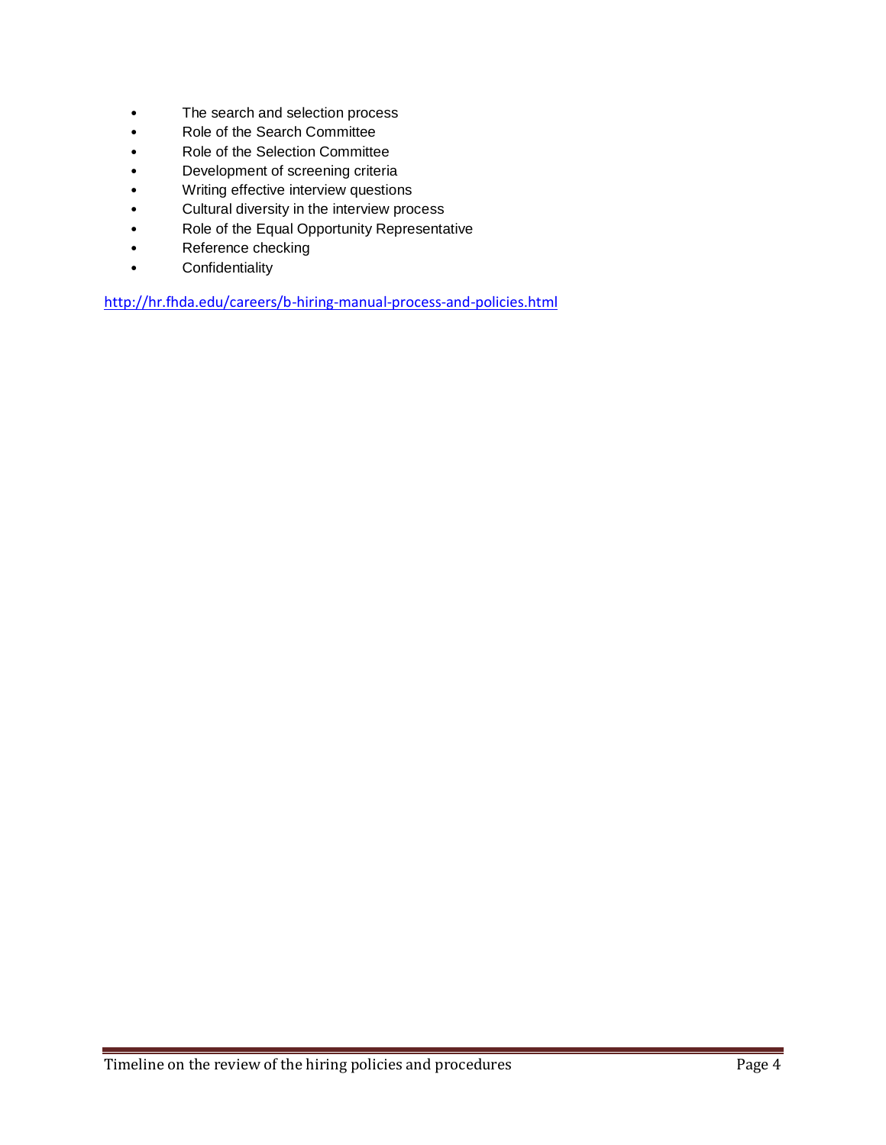- The search and selection process
- Role of the Search Committee
- Role of the Selection Committee
- Development of screening criteria
- Writing effective interview questions
- Cultural diversity in the interview process
- Role of the Equal Opportunity Representative
- Reference checking
- Confidentiality

<http://hr.fhda.edu/careers/b-hiring-manual-process-and-policies.html>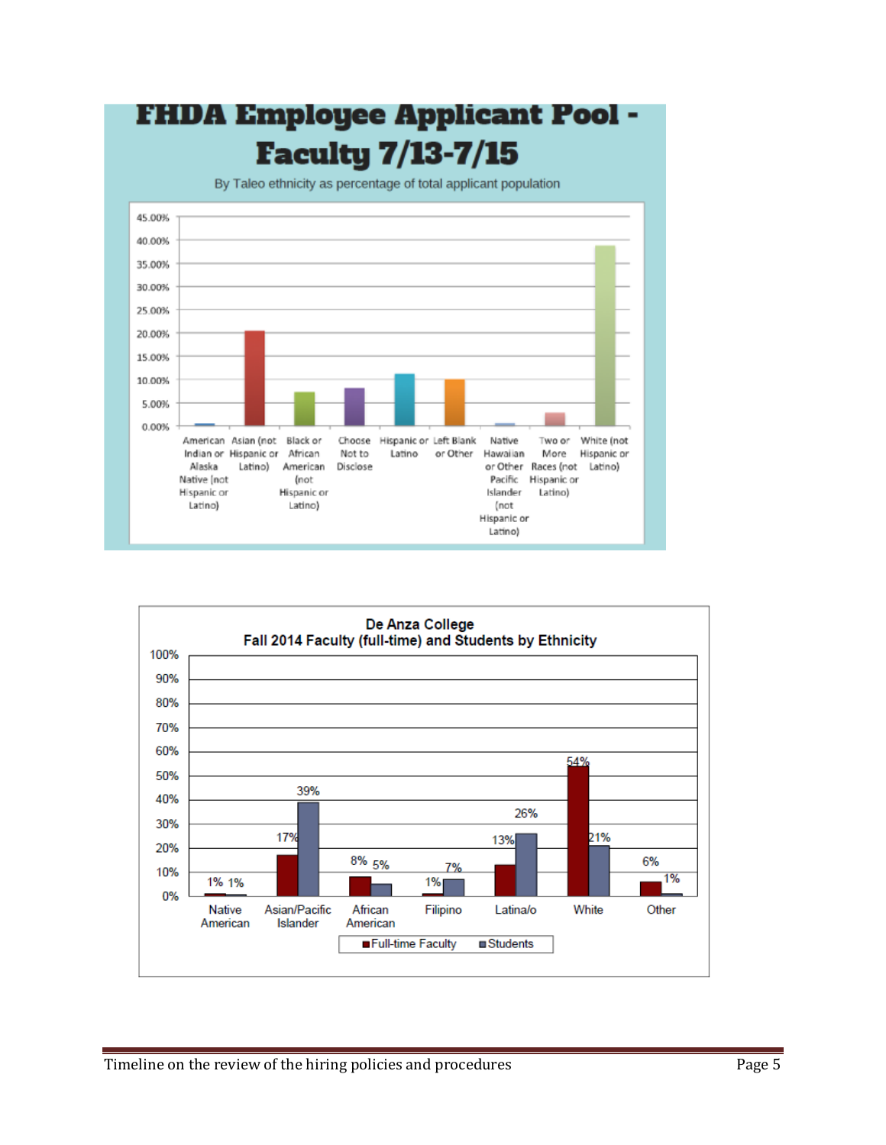